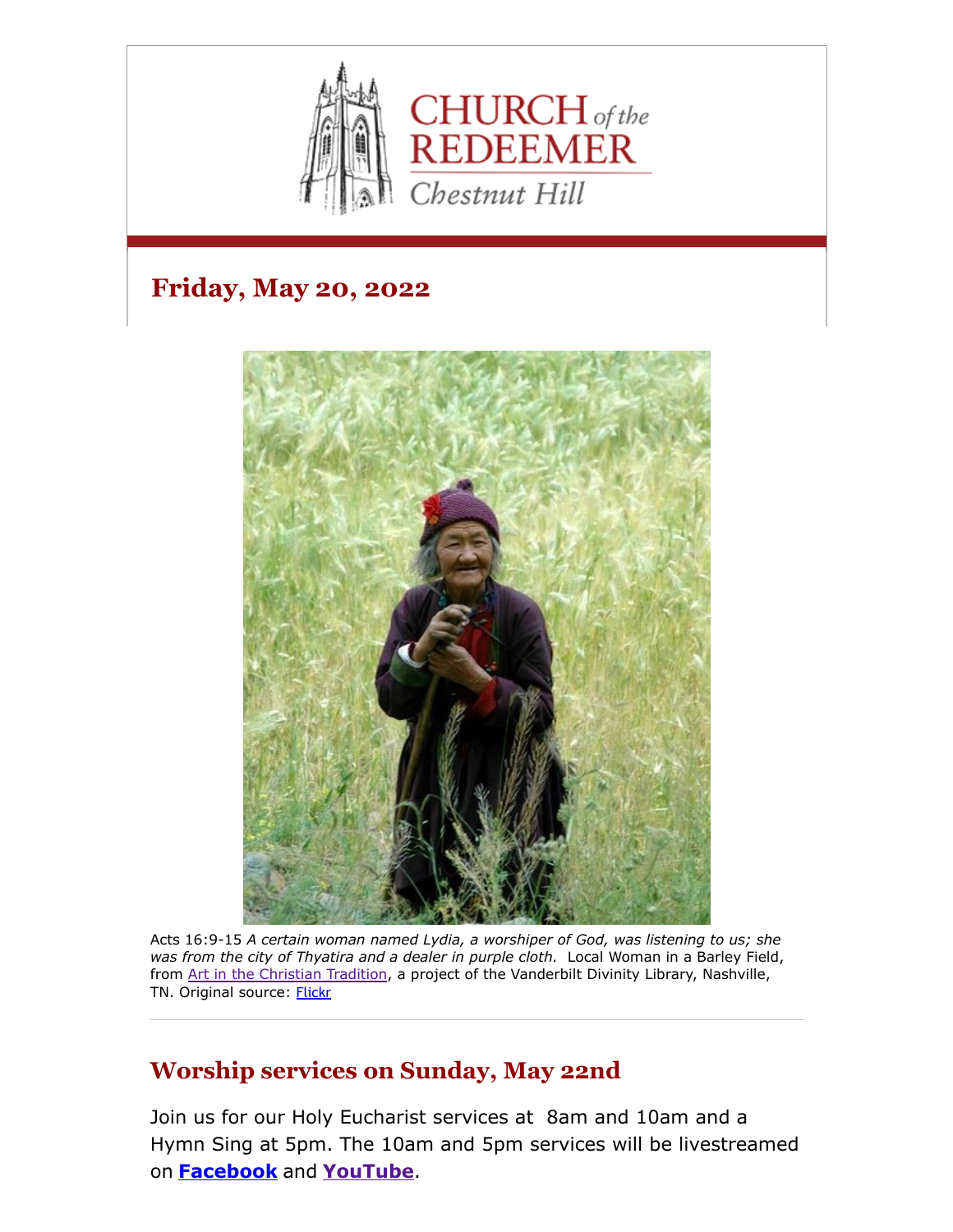

# **Friday, May 20, 2022**



Acts 16:9-15 *A certain woman named Lydia, a worshiper of God, was listening to us; she was from the city of Thyatira and a dealer in purple cloth.* Local Woman in a Barley Field, from [Art in the Christian Tradition,](https://diglib.library.vanderbilt.edu/act-imagelink.pl?RC=54158) a project of the Vanderbilt Divinity Library, Nashville, TN. Original source: [Flickr](http://www.flickr.com/photos/mmoorr/52722248/)

### **Worship services on Sunday, May 22nd**

Join us for our Holy Eucharist services at 8am and 10am and a Hymn Sing at 5pm. The 10am and 5pm services will be livestreamed on **[Facebook](https://www.facebook.com/redeemerchestnuthill)** and **[YouTube](https://www.youtube.com/channel/UCuF2ATr93WfFYaj4XlyKKDw)**.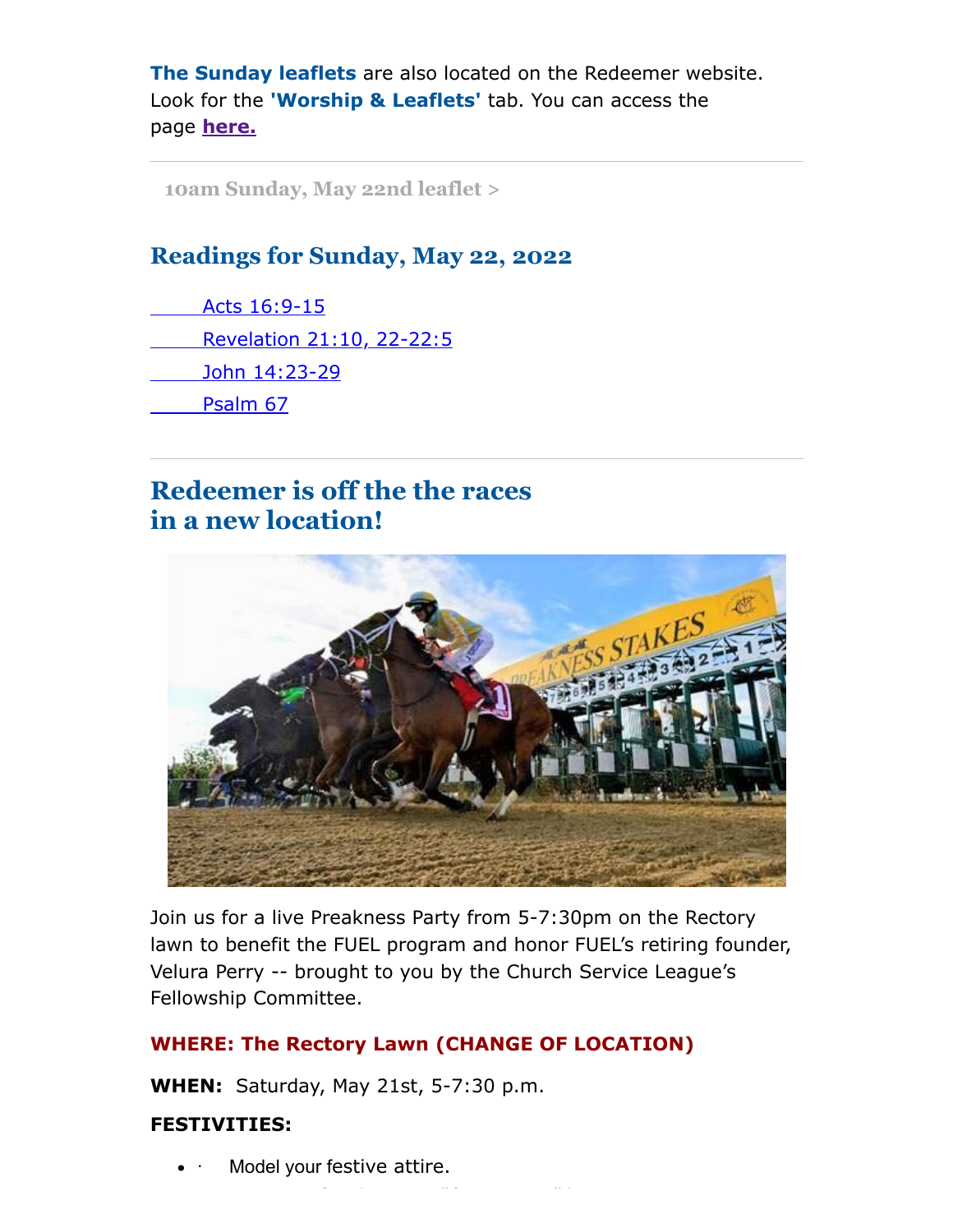**The Sunday leaflets** are also located on the Redeemer website. Look for the **'Worship & Leaflets'** tab. You can access the page **[here.](https://www.redeemerchestnuthill.org/worship-services)**

**[10am Sunday, May 22nd leaflet >](https://drive.google.com/file/d/1qiaLsRAHYapug0ehx0LkWWiWYfH2vTjK/view?usp=sharing)**

### **Readings for Sunday, May 22, 2022**

[Acts 16:9-15](https://lectionarypage.net/YearC_RCL/Easter/CEaster6_RCL.html#ot1) [Revelation 21:10, 22-22:5](https://lectionarypage.net/YearC_RCL/Easter/CEaster6_RCL.html#nt1) [John 14:23-29](https://lectionarypage.net/YearC_RCL/Easter/CEaster6_RCL.html#gsp1) [Psalm 67](https://lectionarypage.net/YearC_RCL/Easter/CEaster6_RCL.html#ps1)

# **Redeemer is off the the races in a new location!**



Join us for a live Preakness Party from 5-7:30pm on the Rectory lawn to benefit the FUEL program and honor FUEL's retiring founder, Velura Perry -- brought to you by the Church Service League's Fellowship Committee.

#### **WHERE: The Rectory Lawn (CHANGE OF LOCATION)**

f h "f" h "f" h "f" h "f" h "f" h "f" h "f" h "f" h "f" h "f" h "f" h "f" h "f" h "f" h "f" h "f" h "f" h "f" <br>The first particular in the first particular in the first particular in the first particular in the first part

**WHEN:** Saturday, May 21st, 5-7:30 p.m.

#### **FESTIVITIES:**

Model your festive attire.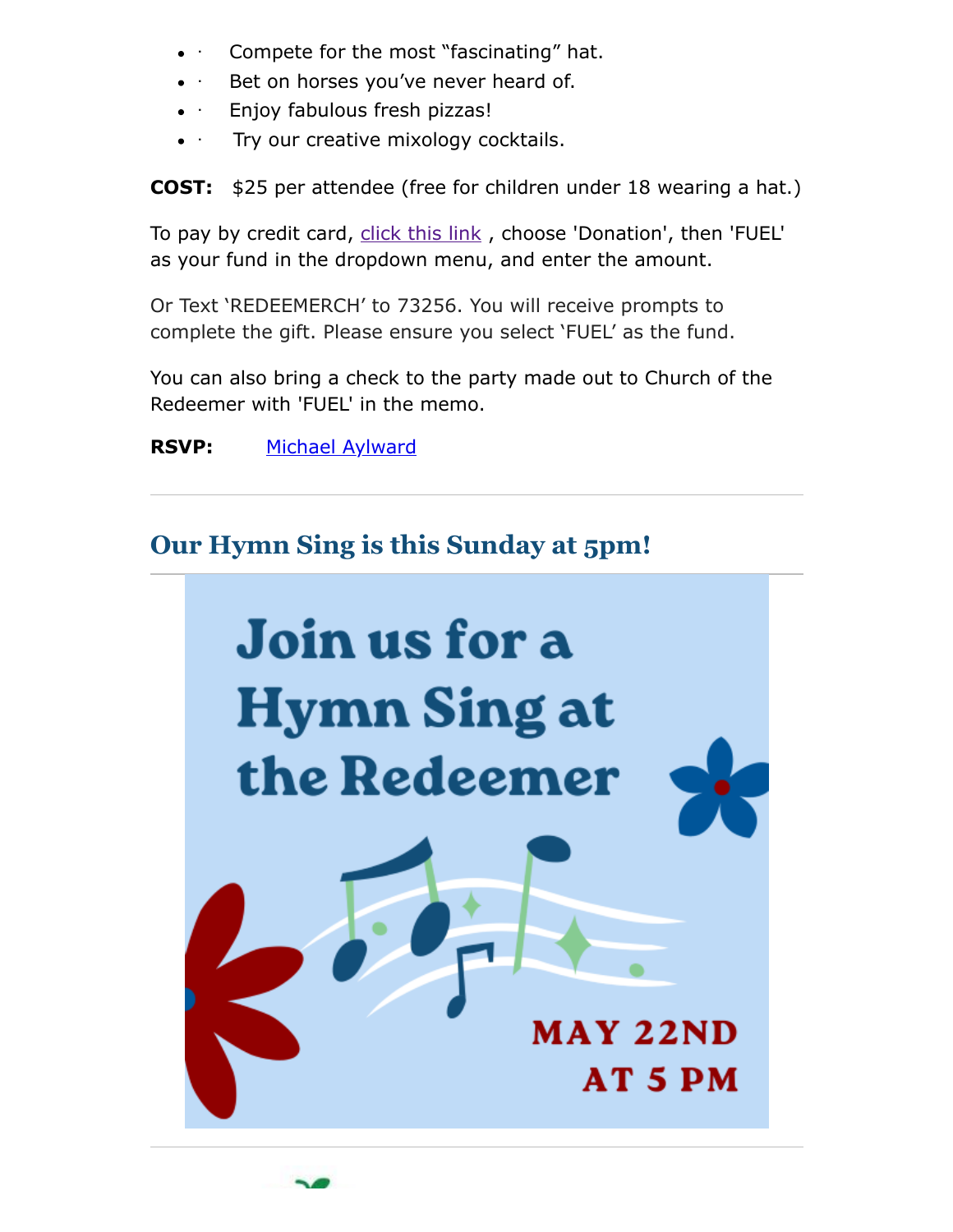- Compete for the most "fascinating" hat.
- Bet on horses you've never heard of.
- Enjoy fabulous fresh pizzas!
- Try our creative mixology cocktails.

**COST:** \$25 per attendee (free for children under 18 wearing a hat.)

To pay by credit card, [click this link](https://www.redeemerchestnuthill.org/Stewardship) , choose 'Donation', then 'FUEL' as your fund in the dropdown menu, and enter the amount.

Or Text 'REDEEMERCH' to 73256. You will receive prompts to complete the gift. Please ensure you select 'FUEL' as the fund.

You can also bring a check to the party made out to Church of the Redeemer with 'FUEL' in the memo.

### **RSVP:** [Michael Aylward](mailto:michaelaylward4@gmail.com)

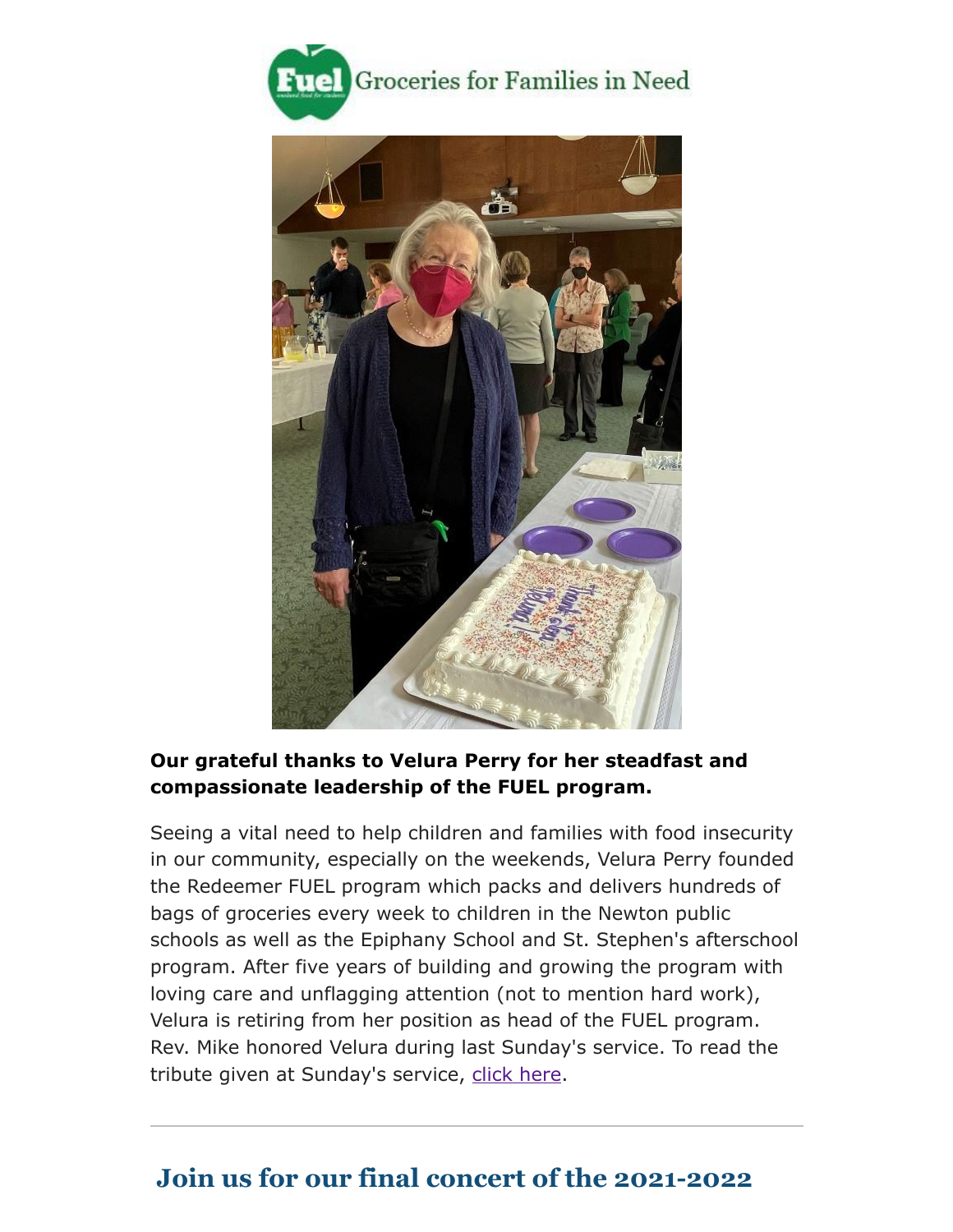



#### **Our grateful thanks to Velura Perry for her steadfast and compassionate leadership of the FUEL program.**

Seeing a vital need to help children and families with food insecurity in our community, especially on the weekends, Velura Perry founded the Redeemer FUEL program which packs and delivers hundreds of bags of groceries every week to children in the Newton public schools as well as the Epiphany School and St. Stephen's afterschool program. After five years of building and growing the program with loving care and unflagging attention (not to mention hard work), Velura is retiring from her position as head of the FUEL program. Rev. Mike honored Velura during last Sunday's service. To read the tribute given at Sunday's service, [click here.](https://drive.google.com/file/d/1pfFf5j22PjgTuAZNkOcmNLUI1VBuZQrD/view?usp=sharing)

# **Join us for our final concert of the 2021-2022**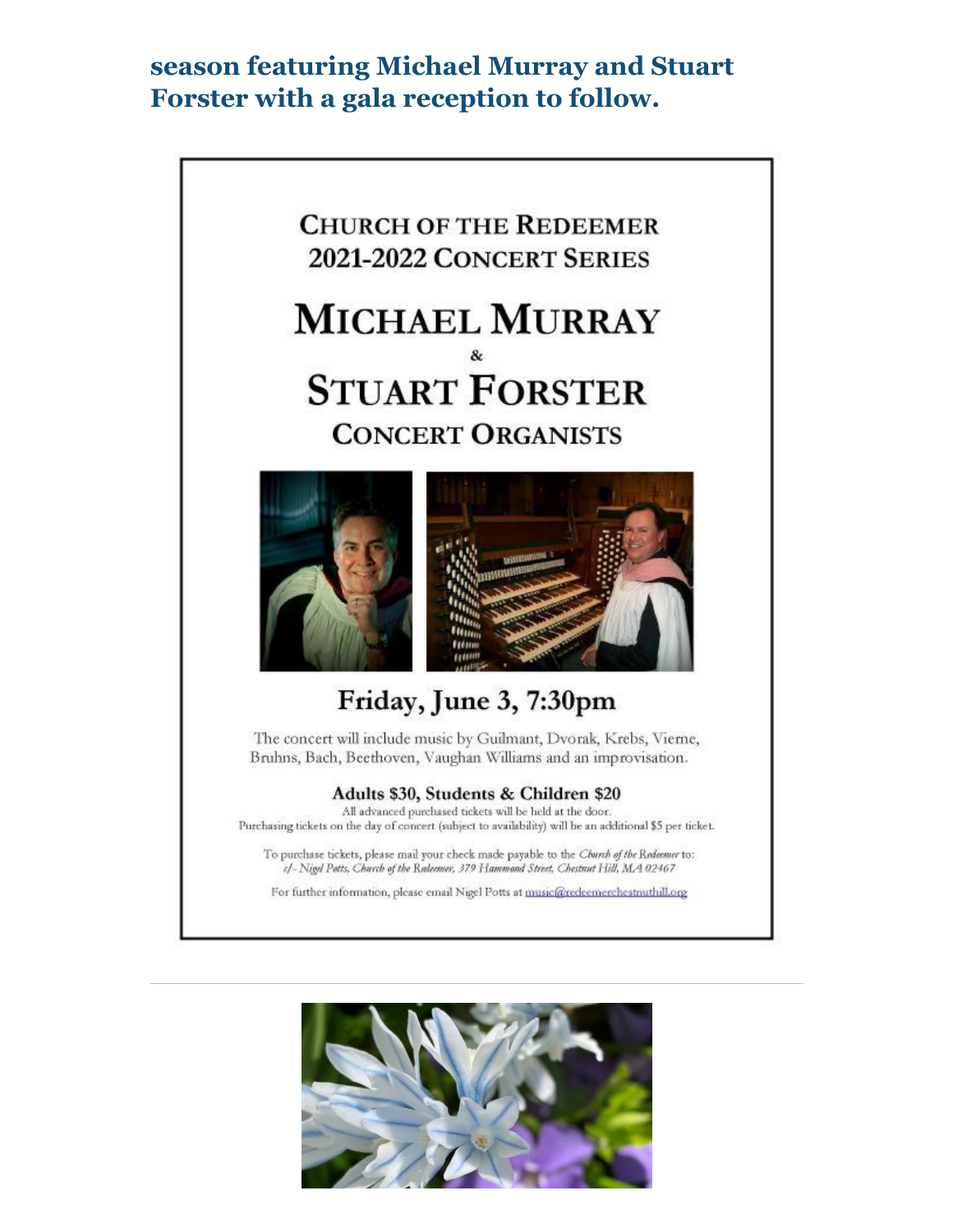## **season featuring Michael Murray and Stuart Forster with a gala reception to follow.**



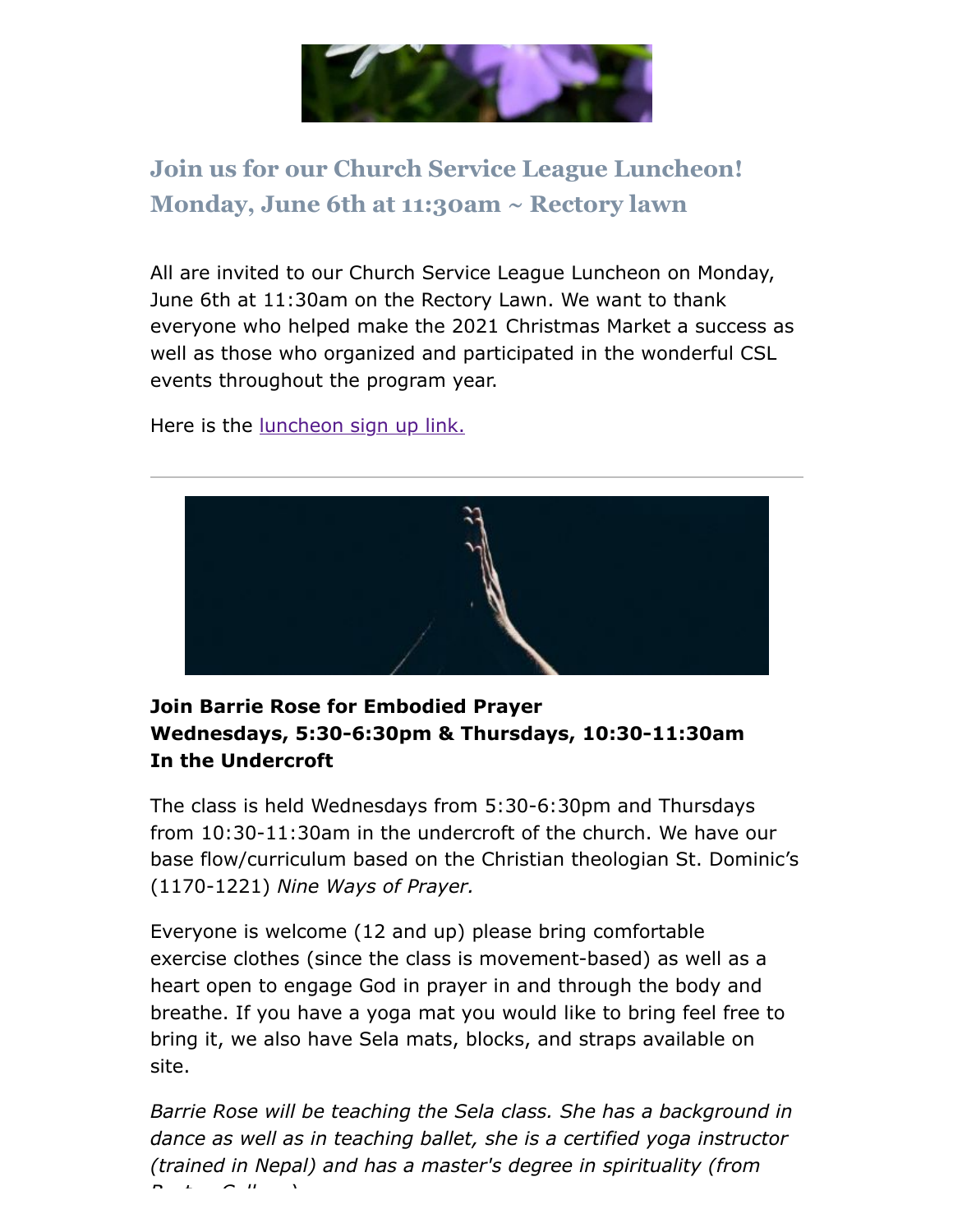

# **Join us for our Church Service League Luncheon! Monday, June 6th at 11:30am ~ Rectory lawn**

All are invited to our Church Service League Luncheon on Monday, June 6th at 11:30am on the Rectory Lawn. We want to thank everyone who helped make the 2021 Christmas Market a success as well as those who organized and participated in the wonderful CSL events throughout the program year.

Here is the <u>luncheon sign up link.</u>



#### **Join Barrie Rose for Embodied Prayer Wednesdays, 5:30-6:30pm & Thursdays, 10:30-11:30am In the Undercroft**

The class is held Wednesdays from 5:30-6:30pm and Thursdays from 10:30-11:30am in the undercroft of the church. We have our base flow/curriculum based on the Christian theologian St. Dominic's (1170-1221) *Nine Ways of Prayer.*

Everyone is welcome (12 and up) please bring comfortable exercise clothes (since the class is movement-based) as well as a heart open to engage God in prayer in and through the body and breathe. If you have a yoga mat you would like to bring feel free to bring it, we also have Sela mats, blocks, and straps available on site.

*Barrie Rose will be teaching the Sela class. She has a background in dance as well as in teaching ballet, she is a certified yoga instructor (trained in Nepal) and has a master's degree in spirituality (from B t C ll )*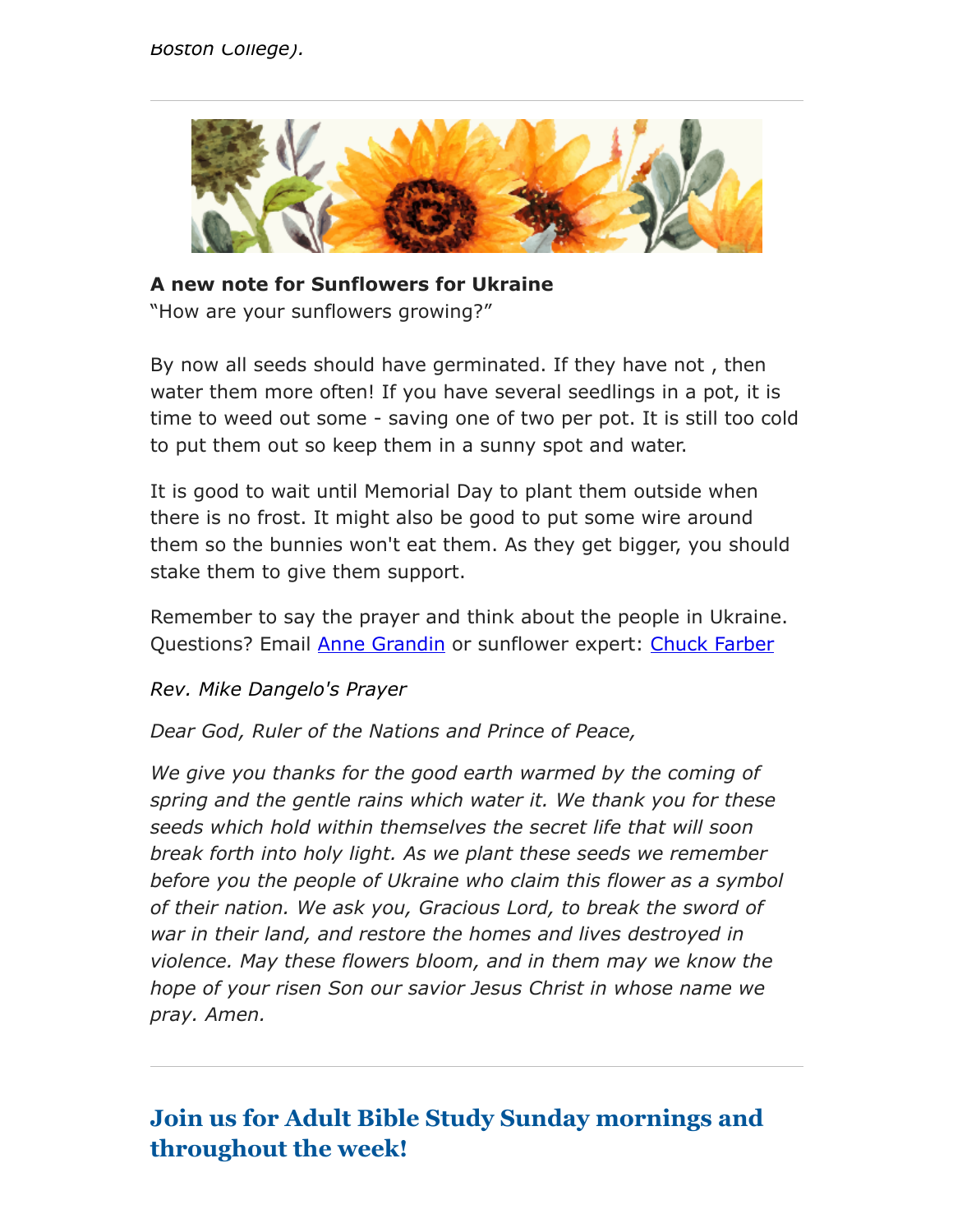

**A new note for Sunflowers for Ukraine** "How are your sunflowers growing?"

By now all seeds should have germinated. If they have not , then water them more often! If you have several seedlings in a pot, it is time to weed out some - saving one of two per pot. It is still too cold to put them out so keep them in a sunny spot and water.

It is good to wait until Memorial Day to plant them outside when there is no frost. It might also be good to put some wire around them so the bunnies won't eat them. As they get bigger, you should stake them to give them support.

Remember to say the prayer and think about the people in Ukraine. Questions? Email **Anne Grandin** or sunflower expert: [Chuck Farber](https://www.redeemerchestnuthill.org/chuck%20farchar@aol.com)

*Rev. Mike Dangelo's Prayer*

*Dear God, Ruler of the Nations and Prince of Peace,*

*We give you thanks for the good earth warmed by the coming of spring and the gentle rains which water it. We thank you for these seeds which hold within themselves the secret life that will soon break forth into holy light. As we plant these seeds we remember before you the people of Ukraine who claim this flower as a symbol of their nation. We ask you, Gracious Lord, to break the sword of war in their land, and restore the homes and lives destroyed in violence. May these flowers bloom, and in them may we know the hope of your risen Son our savior Jesus Christ in whose name we pray. Amen.*

# **Join us for Adult Bible Study Sunday mornings and throughout the week!**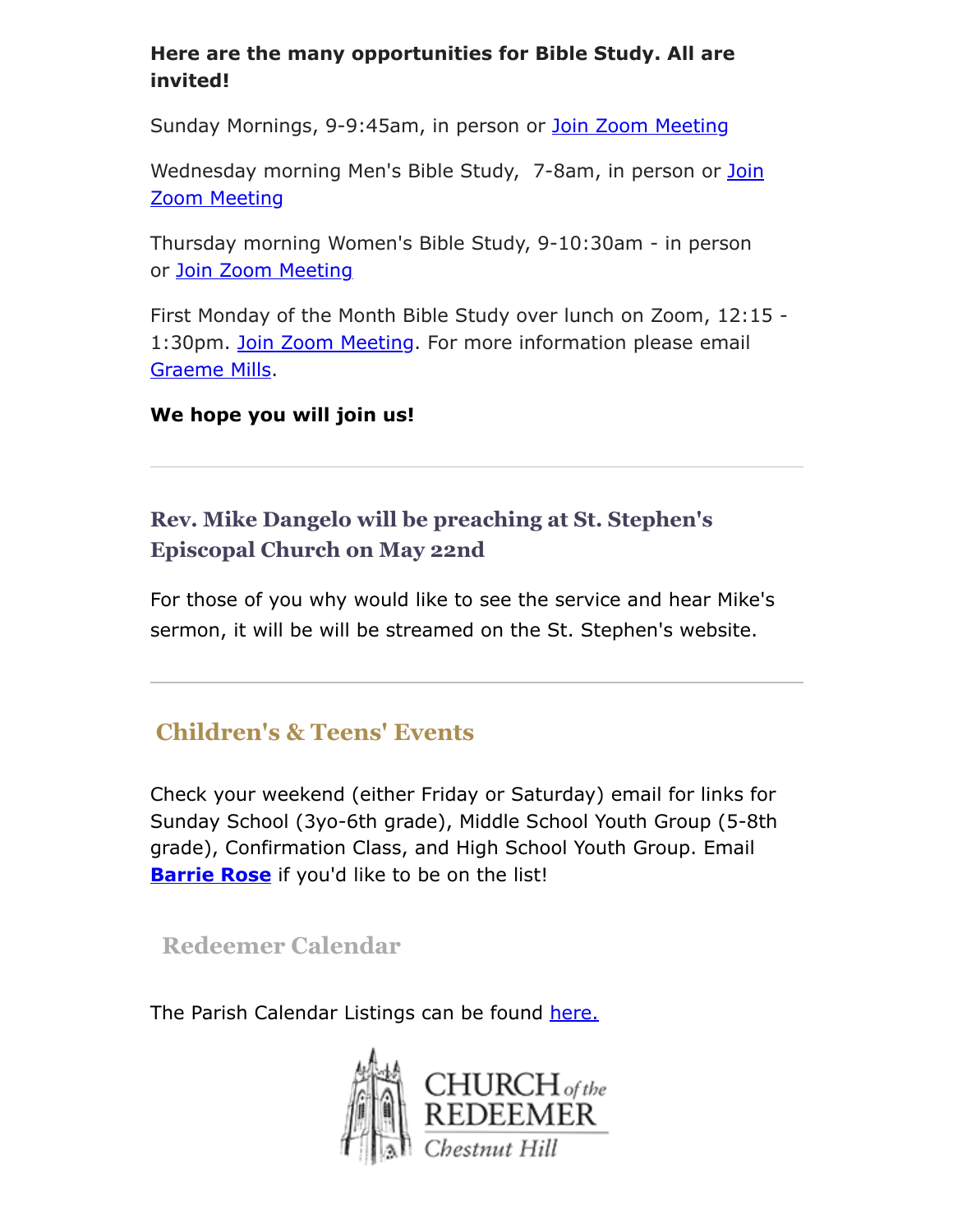#### **Here are the many opportunities for Bible Study. All are invited!**

Sunday Mornings, 9-9:45am, in person or [Join Zoom Meeting](https://us02web.zoom.us/j/86566228912?pwd=aGxWTU1PU3Y3TDZsVTdmbXg2UnNvZz09)

[Wednesday morning Men's Bible Study, 7-8am,](https://us02web.zoom.us/j/89392200698?pwd=czIzYmlKT1JCRmkrdlBFM2lJaGdkZz09) in person or Join Zoom Meeting

Thursday morning Women's Bible Study, 9-10:30am - in person or [Join Zoom Meeting](https://us02web.zoom.us/j/82431832126?pwd=ZXBLQUFnL2haSEZyWll3b0R0MEpmUT09#success#success)

First Monday of the Month Bible Study over lunch on Zoom, 12:15 - 1:30pm. [Join Zoom Meeting](https://cambridgeassociates.zoom.us/j/4580616678?pwd=akl5c0tvL0tQdUo3cFJZVWlZS2QvZz09). For more information please email [Graeme Mills](mailto:gmills@cambridgeassociates.com).

#### **We hope you will join us!**

### **Rev. Mike Dangelo will be preaching at St. Stephen's Episcopal Church on May 22nd**

For those of you why would like to see the service and hear Mike's sermon, it will be will be streamed on the St. Stephen's website.

# **Children's & Teens' Events**

Check your weekend (either Friday or Saturday) email for links for Sunday School (3yo-6th grade), Middle School Youth Group (5-8th grade), Confirmation Class, and High School Youth Group. Email **[Barrie Rose](mailto:families@redeemerchestnuthill.org)** if you'd like to be on the list!

### **Redeemer Calendar**

The Parish Calendar Listings can be found [here.](https://calendar.google.com/calendar/b/1/r/week/2020/8/19?tab=mc&pli=1)